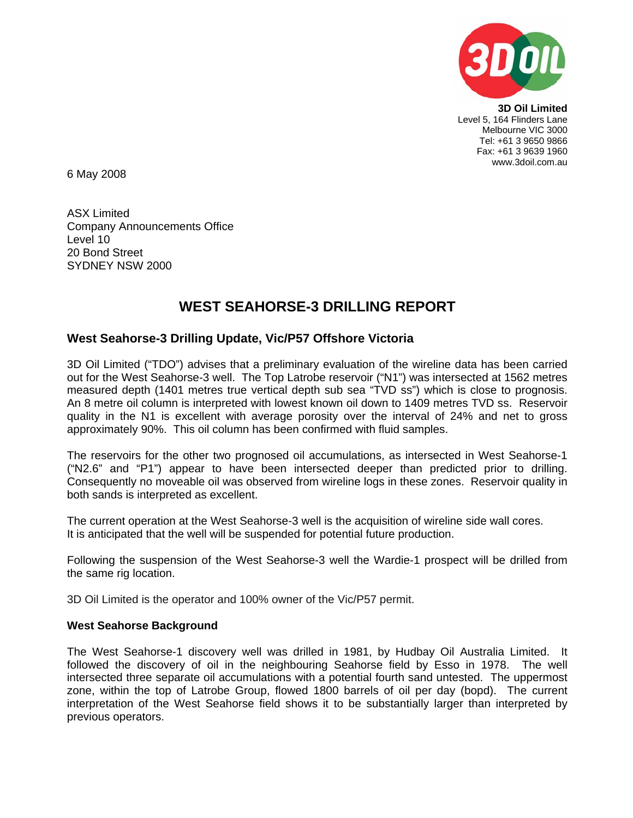

**3D Oil Limited**  Level 5, 164 Flinders Lane Melbourne VIC 3000 Tel: +61 3 9650 9866 Fax: +61 3 9639 1960 www.3doil.com.au

6 May 2008

ASX Limited Company Announcements Office Level 10 20 Bond Street SYDNEY NSW 2000

## **WEST SEAHORSE-3 DRILLING REPORT**

## **West Seahorse-3 Drilling Update, Vic/P57 Offshore Victoria**

3D Oil Limited ("TDO") advises that a preliminary evaluation of the wireline data has been carried out for the West Seahorse-3 well. The Top Latrobe reservoir ("N1") was intersected at 1562 metres measured depth (1401 metres true vertical depth sub sea "TVD ss") which is close to prognosis. An 8 metre oil column is interpreted with lowest known oil down to 1409 metres TVD ss. Reservoir quality in the N1 is excellent with average porosity over the interval of 24% and net to gross approximately 90%. This oil column has been confirmed with fluid samples.

The reservoirs for the other two prognosed oil accumulations, as intersected in West Seahorse-1 ("N2.6" and "P1") appear to have been intersected deeper than predicted prior to drilling. Consequently no moveable oil was observed from wireline logs in these zones. Reservoir quality in both sands is interpreted as excellent.

The current operation at the West Seahorse-3 well is the acquisition of wireline side wall cores. It is anticipated that the well will be suspended for potential future production.

Following the suspension of the West Seahorse-3 well the Wardie-1 prospect will be drilled from the same rig location.

3D Oil Limited is the operator and 100% owner of the Vic/P57 permit.

## **West Seahorse Background**

The West Seahorse-1 discovery well was drilled in 1981, by Hudbay Oil Australia Limited. It followed the discovery of oil in the neighbouring Seahorse field by Esso in 1978. The well intersected three separate oil accumulations with a potential fourth sand untested. The uppermost zone, within the top of Latrobe Group, flowed 1800 barrels of oil per day (bopd). The current interpretation of the West Seahorse field shows it to be substantially larger than interpreted by previous operators.